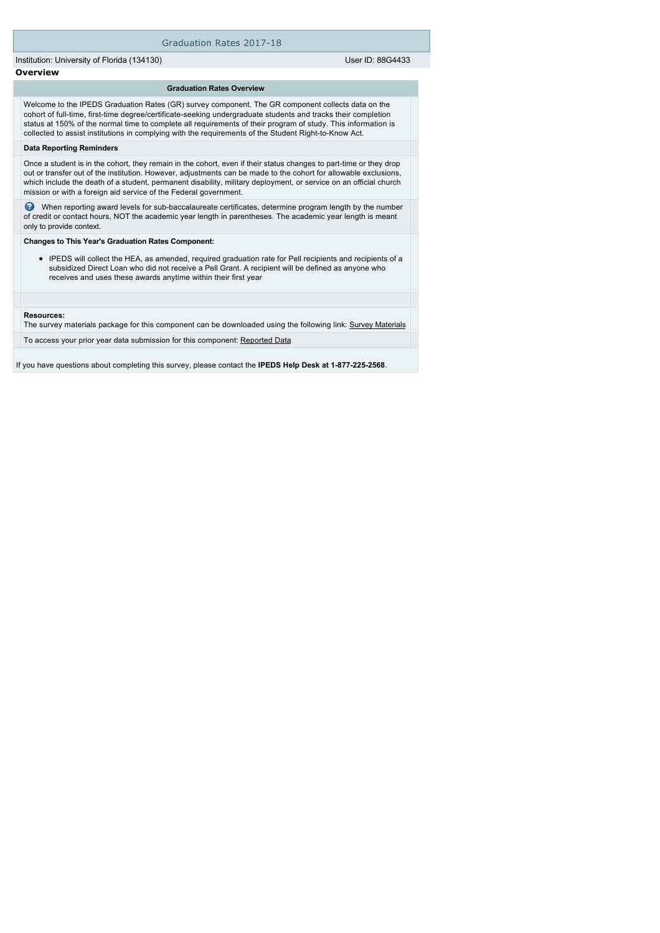### Graduation Rates 2017-18

Institution: University of Florida (134130) User ID: 88G4433

# **Overview**

#### **Graduation Rates Overview**

Welcome to the IPEDS Graduation Rates (GR) survey component. The GR component collects data on the cohort of full-time, first-time degree/certificate-seeking undergraduate students and tracks their completion status at 150% of the normal time to complete all requirements of their program of study. This information is collected to assist institutions in complying with the requirements of the Student Right-to-Know Act.

#### **Data Reporting Reminders**

Once a student is in the cohort, they remain in the cohort, even if their status changes to part-time or they drop out or transfer out of the institution. However, adjustments can be made to the cohort for allowable exclusions, which include the death of a student, permanent disability, military deployment, or service on an official church mission or with a foreign aid service of the Federal government.

 When reporting award levels for sub-baccalaureate certificates, determine program length by the number of credit or contact hours, NOT the academic year length in parentheses. The academic year length is meant only to provide context.

### **Changes to This Year's Graduation Rates Component:**

IPEDS will collect the HEA, as amended, required graduation rate for Pell recipients and recipients of a subsidized Direct Loan who did not receive a Pell Grant. A recipient will be defined as anyone who receives and uses these awards anytime within their first year

#### **Resources:**

The survey materials package for this component can be downloaded using the following link: [Survey Materials](https://surveys.nces.ed.gov/ipeds/VisIndex.aspx)

To access your prior year data submission for this component: [Reported Data](e:/Inetpub/wwwroot/IPEDS2K17_18/PriorYearDataRedirect.aspx?survey_id=4)

If you have questions about completing this survey, please contact the **IPEDS Help Desk at 1-877-225-2568**.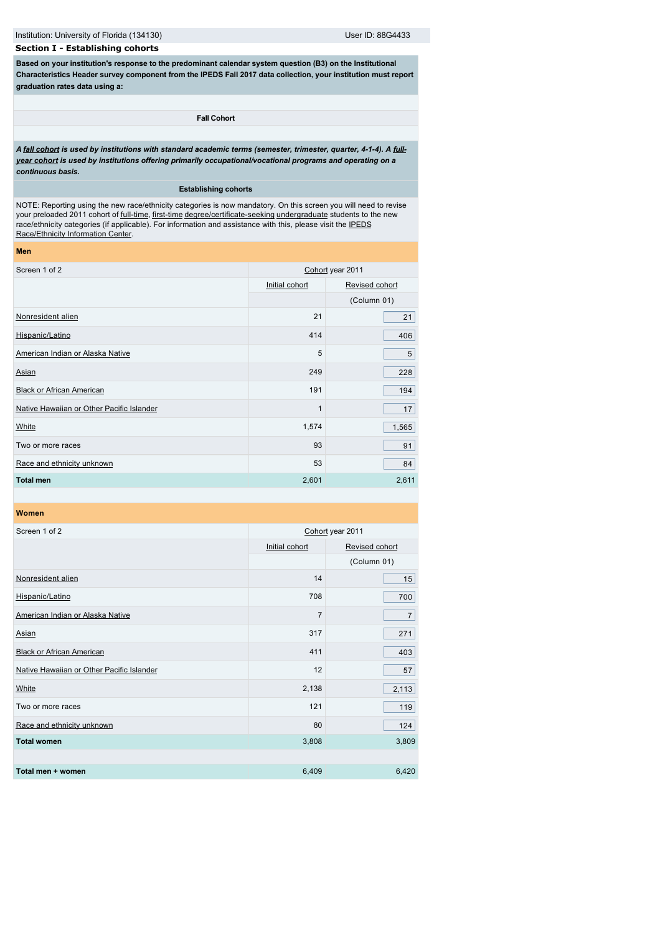Institution: University of Florida (134130) User ID: 88G4433

# **Section I - Establishing cohorts**

**Based on your institution's response to the predominant calendar system question (B3) on the Institutional Characteristics Header survey component from the IPEDS Fall 2017 data collection, your institution must report graduation rates data using a:**

### **Fall Cohort**

*[A f](javascript:openglossary(261))[all cohor](javascript:openglossary(219))[t is used by institutions with standard academic terms \(semester, trimester, quarter, 4-1-4\). A full](javascript:openglossary(261))year cohort is used by institutions offering primarily occupational/vocational programs and operating on a continuous basis.*

### **Establishing cohorts**

NOTE: Reporting using the new race/ethnicity categories is now mandatory. On this screen you will need to revise your preloaded 2011 cohort of [full-time,](javascript:openglossary(259)) [first-time](javascript:openglossary(241)) [degree/certificate-seeking](javascript:openglossary(171)) [undergraduate](javascript:openglossary(677)) students to the new [race/ethnicity categories \(if applicable\). For information and assistance with this, please visit the IPEDS](http://nces.ed.gov/ipeds/Section/Resources) Race/Ethnicity Information Center.

| Screen 1 of 2                             | Cohort year 2011 |                |  |
|-------------------------------------------|------------------|----------------|--|
|                                           | Initial cohort   | Revised cohort |  |
|                                           |                  | (Column 01)    |  |
| Nonresident alien                         | 21               | 21             |  |
| Hispanic/Latino                           | 414              | 406            |  |
| American Indian or Alaska Native          | 5                | 5              |  |
| Asian                                     | 249              | 228            |  |
| <b>Black or African American</b>          | 191              | 194            |  |
| Native Hawaiian or Other Pacific Islander | 1                | 17             |  |
| White                                     | 1,574            | 1,565          |  |
| Two or more races                         | 93               | 91             |  |
| Race and ethnicity unknown                | 53               | 84             |  |
| <b>Total men</b>                          | 2,601            | 2,611          |  |
|                                           |                  |                |  |

**Women**

**Men**

| Screen 1 of 2                             | Cohort year 2011 |                |  |
|-------------------------------------------|------------------|----------------|--|
|                                           | Initial cohort   | Revised cohort |  |
|                                           |                  | (Column 01)    |  |
| Nonresident alien                         | 14               | 15             |  |
| Hispanic/Latino                           | 708              | 700            |  |
| American Indian or Alaska Native          | 7                | $\overline{7}$ |  |
| Asian                                     | 317              | 271            |  |
| <b>Black or African American</b>          | 411              | 403            |  |
| Native Hawaiian or Other Pacific Islander | 12               | 57             |  |
| White                                     | 2,138            | 2,113          |  |
| Two or more races                         | 121              | 119            |  |
| Race and ethnicity unknown                | 80               | 124            |  |
| <b>Total women</b>                        | 3,808            | 3,809          |  |
|                                           |                  |                |  |
| Total men + women                         | 6,409            | 6,420          |  |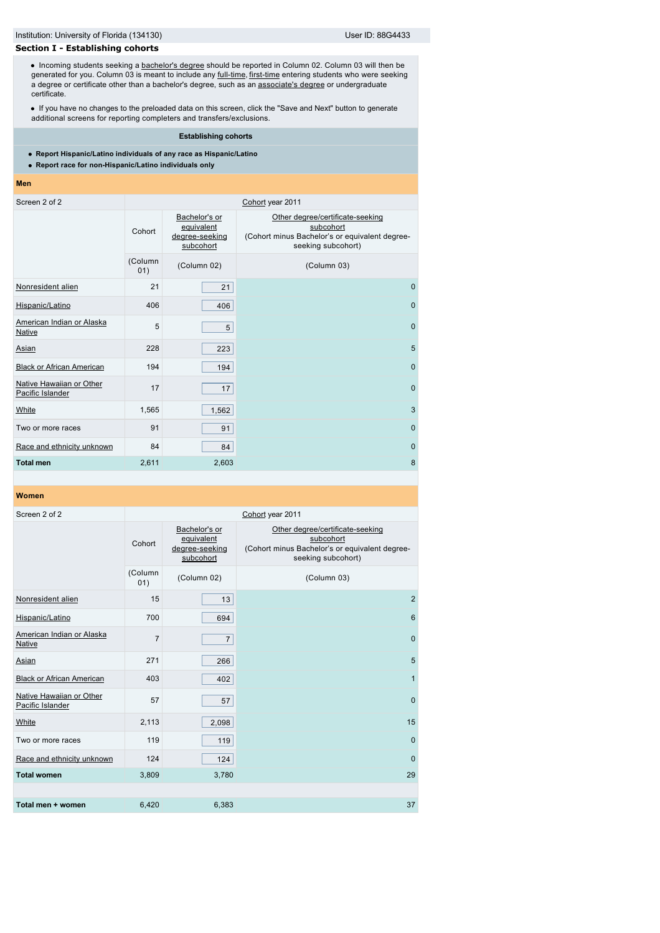# **Section I - Establishing cohorts**

• Incoming students seeking a [bachelor's degree](javascript:openglossary(77)) should be reported in Column 02. Column 03 will then be generated for you. Column 03 is meant to include any <u>full-time, [first-time](javascript:openglossary(241))</u> entering students who were seeking a degree or certificate other than a bachelor's degree, such as an [associate's degree](javascript:openglossary(55)) or undergraduate certificate.

If you have no changes to the preloaded data on this screen, click the "Save and Next" button to generate additional screens for reporting completers and transfers/exclusions.

**Establishing cohorts**

**Report Hispanic/Latino individuals of any race as Hispanic/Latino**

**Report race for non-Hispanic/Latino individuals only**

#### **Men**

| Screen 2 of 2                                |                | Cohort year 2011                                           |                                                                                                                       |  |  |  |  |
|----------------------------------------------|----------------|------------------------------------------------------------|-----------------------------------------------------------------------------------------------------------------------|--|--|--|--|
|                                              | Cohort         | Bachelor's or<br>equivalent<br>degree-seeking<br>subcohort | Other degree/certificate-seeking<br>subcohort<br>(Cohort minus Bachelor's or equivalent degree-<br>seeking subcohort) |  |  |  |  |
|                                              | (Column<br>01) | (Column 02)                                                | (Column 03)                                                                                                           |  |  |  |  |
| Nonresident alien                            | 21             | 21                                                         | $\mathbf{0}$                                                                                                          |  |  |  |  |
| Hispanic/Latino                              | 406            | 406                                                        | $\Omega$                                                                                                              |  |  |  |  |
| American Indian or Alaska<br><b>Native</b>   | 5              | 5                                                          | $\mathbf{0}$                                                                                                          |  |  |  |  |
| Asian                                        | 228            | 223                                                        | 5                                                                                                                     |  |  |  |  |
| <b>Black or African American</b>             | 194            | 194                                                        | $\mathbf{0}$                                                                                                          |  |  |  |  |
| Native Hawaiian or Other<br>Pacific Islander | 17             | 17                                                         | $\mathbf{0}$                                                                                                          |  |  |  |  |
| White                                        | 1,565          | 1,562                                                      | 3                                                                                                                     |  |  |  |  |
| Two or more races                            | 91             | 91                                                         | $\mathbf 0$                                                                                                           |  |  |  |  |
| Race and ethnicity unknown                   | 84             | 84                                                         | $\mathbf{0}$                                                                                                          |  |  |  |  |
| <b>Total men</b>                             | 2,611          | 2,603                                                      | 8                                                                                                                     |  |  |  |  |

| Screen 2 of 2                                |                |                                                            | Cohort year 2011                                                                                                      |
|----------------------------------------------|----------------|------------------------------------------------------------|-----------------------------------------------------------------------------------------------------------------------|
|                                              | Cohort         | Bachelor's or<br>equivalent<br>degree-seeking<br>subcohort | Other degree/certificate-seeking<br>subcohort<br>(Cohort minus Bachelor's or equivalent degree-<br>seeking subcohort) |
|                                              | (Column<br>01) | (Column 02)                                                | (Column 03)                                                                                                           |
| Nonresident alien                            | 15             | 13                                                         | 2                                                                                                                     |
| Hispanic/Latino                              | 700            | 694                                                        | 6                                                                                                                     |
| American Indian or Alaska<br><b>Native</b>   | $\overline{7}$ | $\overline{7}$                                             | $\mathbf{0}$                                                                                                          |
| Asian                                        | 271            | 266                                                        | 5                                                                                                                     |
| <b>Black or African American</b>             | 403            | 402                                                        | $\mathbf{1}$                                                                                                          |
| Native Hawaiian or Other<br>Pacific Islander | 57             | 57                                                         | $\mathbf 0$                                                                                                           |
| White                                        | 2,113          | 2,098                                                      | 15                                                                                                                    |
| Two or more races                            | 119            | 119                                                        | $\mathbf 0$                                                                                                           |
| Race and ethnicity unknown                   | 124            | 124                                                        | $\mathbf 0$                                                                                                           |
| <b>Total women</b>                           | 3,809          | 3,780                                                      | 29                                                                                                                    |
|                                              |                |                                                            |                                                                                                                       |
| Total men + women                            | 6,420          | 6,383                                                      | 37                                                                                                                    |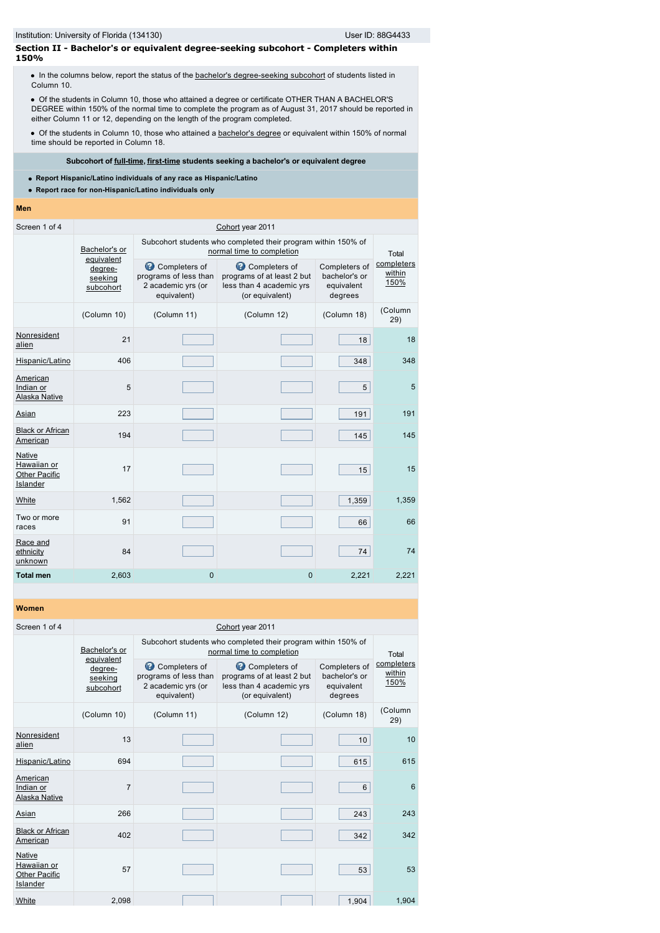# **Section II - Bachelor's or equivalent degree-seeking subcohort - Completers within 150%**

• In the columns below, report the status of the [bachelor's degree-seeking subcohort](javascript:openglossary(79)) of students listed in Column 10.

Of the students in Column 10, those who attained a degree or certificate OTHER THAN A BACHELOR'S DEGREE within 150% of the normal time to complete the program as of August 31, 2017 should be reported in either Column 11 or 12, depending on the length of the program completed.

Of the students in Column 10, those who attained a [bachelor's degree](javascript:openglossary(77)) or equivalent within 150% of normal time should be reported in Column 18.

### **Subcohort of [full-time](javascript:openglossary(259)), [first-time](javascript:openglossary(241)) students seeking a bachelor's or equivalent degree**

- **Report Hispanic/Latino individuals of any race as Hispanic/Latino**
- **Report race for non-Hispanic/Latino individuals only**

### **Men**

| Screen 1 of 4                                             | Cohort year 2011                              |                                                                             |                                                                                            |                                                         |                              |  |
|-----------------------------------------------------------|-----------------------------------------------|-----------------------------------------------------------------------------|--------------------------------------------------------------------------------------------|---------------------------------------------------------|------------------------------|--|
|                                                           | Bachelor's or                                 |                                                                             | Subcohort students who completed their program within 150% of<br>normal time to completion |                                                         | Total                        |  |
|                                                           | equivalent<br>degree-<br>seeking<br>subcohort | Completers of<br>programs of less than<br>2 academic yrs (or<br>equivalent) | Completers of<br>programs of at least 2 but<br>less than 4 academic yrs<br>(or equivalent) | Completers of<br>bachelor's or<br>equivalent<br>degrees | completers<br>within<br>150% |  |
|                                                           | (Column 10)                                   | (Column 11)                                                                 | (Column 12)                                                                                | (Column 18)                                             | (Column<br>29)               |  |
| Nonresident<br>alien                                      | 21                                            |                                                                             |                                                                                            | 18                                                      | 18                           |  |
| Hispanic/Latino                                           | 406                                           |                                                                             |                                                                                            | 348                                                     | 348                          |  |
| American<br>Indian or<br>Alaska Native                    | 5                                             |                                                                             |                                                                                            | 5                                                       | 5                            |  |
| Asian                                                     | 223                                           |                                                                             |                                                                                            | 191                                                     | 191                          |  |
| <b>Black or African</b><br>American                       | 194                                           |                                                                             |                                                                                            | 145                                                     | 145                          |  |
| Native<br>Hawaiian or<br><b>Other Pacific</b><br>Islander | 17                                            |                                                                             |                                                                                            | 15                                                      | 15                           |  |
| White                                                     | 1,562                                         |                                                                             |                                                                                            | 1,359                                                   | 1,359                        |  |
| Two or more<br>races                                      | 91                                            |                                                                             |                                                                                            | 66                                                      | 66                           |  |
| Race and<br>ethnicity<br>unknown                          | 84                                            |                                                                             |                                                                                            | 74                                                      | 74                           |  |
| <b>Total men</b>                                          | 2,603                                         | $\mathbf{0}$                                                                | $\mathbf 0$                                                                                | 2,221                                                   | 2,221                        |  |

| Screen 1 of 4                                                    | Cohort year 2011                              |                                                                             |                                                                                            |                                                         |                              |
|------------------------------------------------------------------|-----------------------------------------------|-----------------------------------------------------------------------------|--------------------------------------------------------------------------------------------|---------------------------------------------------------|------------------------------|
|                                                                  | Bachelor's or                                 |                                                                             | Subcohort students who completed their program within 150% of<br>normal time to completion |                                                         | Total                        |
|                                                                  | equivalent<br>degree-<br>seeking<br>subcohort | Completers of<br>programs of less than<br>2 academic yrs (or<br>equivalent) | Completers of<br>programs of at least 2 but<br>less than 4 academic yrs<br>(or equivalent) | Completers of<br>bachelor's or<br>equivalent<br>degrees | completers<br>within<br>150% |
|                                                                  | (Column 10)                                   | (Column 11)                                                                 | (Column 12)                                                                                | (Column 18)                                             | (Column<br>29)               |
| Nonresident<br>alien                                             | 13                                            |                                                                             |                                                                                            | 10                                                      | 10                           |
| Hispanic/Latino                                                  | 694                                           |                                                                             |                                                                                            | 615                                                     | 615                          |
| American<br>Indian or<br><b>Alaska Native</b>                    | $\overline{7}$                                |                                                                             |                                                                                            | 6                                                       | 6                            |
| Asian                                                            | 266                                           |                                                                             |                                                                                            | 243                                                     | 243                          |
| <b>Black or African</b><br>American                              | 402                                           |                                                                             |                                                                                            | 342                                                     | 342                          |
| <b>Native</b><br>Hawaiian or<br><b>Other Pacific</b><br>Islander | 57                                            |                                                                             |                                                                                            | 53                                                      | 53                           |
| White                                                            | 2,098                                         |                                                                             |                                                                                            | 1,904                                                   | 1,904                        |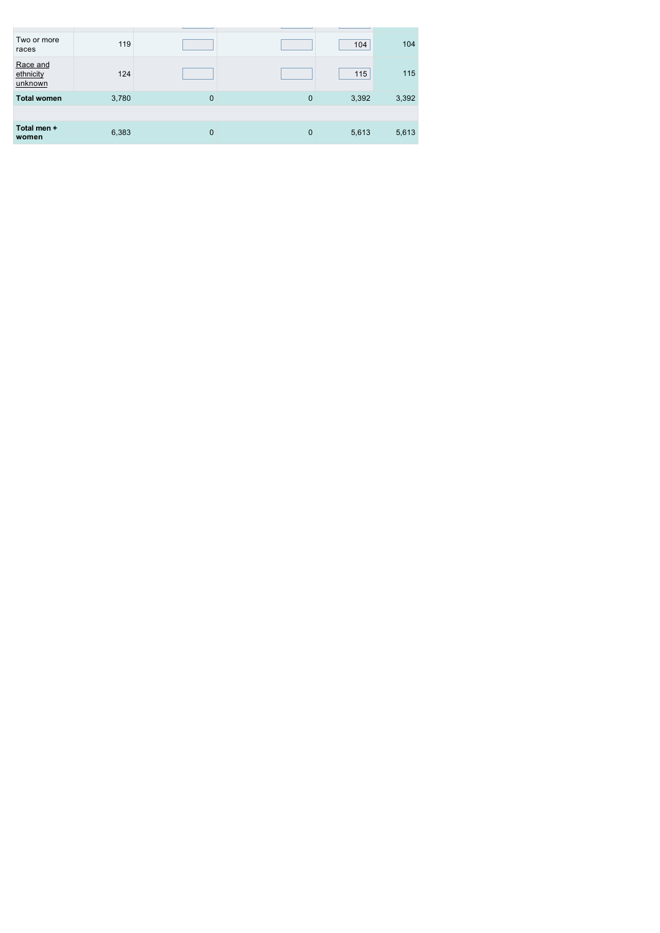| Two or more<br>races             | 119   |              |             | 104   | 104   |
|----------------------------------|-------|--------------|-------------|-------|-------|
| Race and<br>ethnicity<br>unknown | 124   |              |             | 115   | 115   |
| <b>Total women</b>               | 3,780 | $\mathbf{0}$ | $\mathbf 0$ | 3,392 | 3,392 |
|                                  |       |              |             |       |       |
| Total men +<br>women             | 6,383 | $\mathbf{0}$ | $\mathbf 0$ | 5,613 | 5,613 |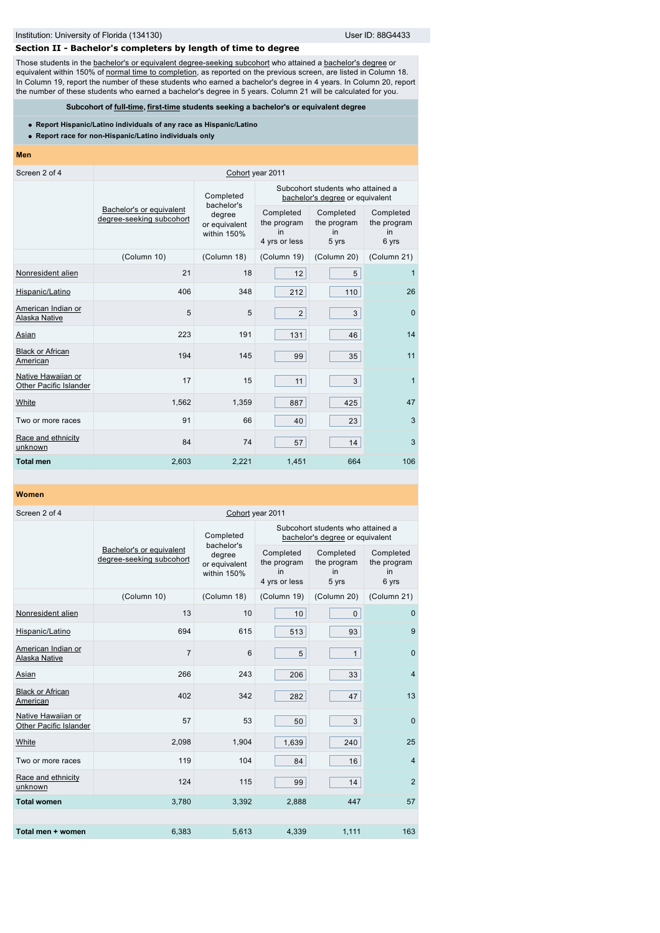# **Section II - Bachelor's completers by length of time to degree**

Those students in the [bachelor's or equivalent degree-seeking subcohort](javascript:openglossary(79)) who attained a [bachelor's degree](javascript:openglossary(77)) or equivalent within 150% of [normal time to completion](javascript:openglossary(421)), as reported on the previous screen, are listed in Column 18. In Column 19, report the number of these students who earned a bachelor's degree in 4 years. In Column 20, report the number of these students who earned a bachelor's degree in 5 years. Column 21 will be calculated for you.

**Subcohort of [full-time](javascript:openglossary(259)), [first-time](javascript:openglossary(241)) students seeking a bachelor's or equivalent degree**

- **Report Hispanic/Latino individuals of any race as Hispanic/Latino**
- **Report race for non-Hispanic/Latino individuals only**

### **Men**

| Screen 2 of 4                                | Cohort year 2011                                     |                                        |                                                                      |                                         |                                         |  |  |
|----------------------------------------------|------------------------------------------------------|----------------------------------------|----------------------------------------------------------------------|-----------------------------------------|-----------------------------------------|--|--|
|                                              |                                                      | Completed<br>bachelor's                | Subcohort students who attained a<br>bachelor's degree or equivalent |                                         |                                         |  |  |
|                                              | Bachelor's or equivalent<br>degree-seeking subcohort | degree<br>or equivalent<br>within 150% | Completed<br>the program<br>in<br>4 yrs or less                      | Completed<br>the program<br>in<br>5 yrs | Completed<br>the program<br>in<br>6 yrs |  |  |
|                                              | (Column 10)                                          | (Column 18)                            | (Column 19)                                                          | (Column 20)                             | (Column 21)                             |  |  |
| Nonresident alien                            | 21                                                   | 18                                     | 12                                                                   | 5                                       | 1                                       |  |  |
| Hispanic/Latino                              | 406                                                  | 348                                    | 212                                                                  | 110                                     | 26                                      |  |  |
| American Indian or<br>Alaska Native          | 5                                                    | 5                                      | $\overline{2}$                                                       | 3                                       | $\mathbf{0}$                            |  |  |
| Asian                                        | 223                                                  | 191                                    | 131                                                                  | 46                                      | 14                                      |  |  |
| <b>Black or African</b><br>American          | 194                                                  | 145                                    | 99                                                                   | 35                                      | 11                                      |  |  |
| Native Hawaiian or<br>Other Pacific Islander | 17                                                   | 15                                     | 11                                                                   | 3                                       | $\mathbf{1}$                            |  |  |
| White                                        | 1,562                                                | 1,359                                  | 887                                                                  | 425                                     | 47                                      |  |  |
| Two or more races                            | 91                                                   | 66                                     | 40                                                                   | 23                                      | 3                                       |  |  |
| Race and ethnicity<br>unknown                | 84                                                   | 74                                     | 57                                                                   | 14                                      | 3                                       |  |  |
| <b>Total men</b>                             | 2,603                                                | 2,221                                  | 1,451                                                                | 664                                     | 106                                     |  |  |

| Screen 2 of 4                                | Cohort year 2011                                     |                                        |                                                                      |                                         |                |  |  |
|----------------------------------------------|------------------------------------------------------|----------------------------------------|----------------------------------------------------------------------|-----------------------------------------|----------------|--|--|
|                                              |                                                      | Completed<br>bachelor's                | Subcohort students who attained a<br>bachelor's degree or equivalent |                                         |                |  |  |
|                                              | Bachelor's or equivalent<br>degree-seeking subcohort | degree<br>or equivalent<br>within 150% | Completed<br>the program<br>in<br>4 yrs or less                      | Completed<br>the program<br>in<br>5 yrs |                |  |  |
|                                              | (Column 10)                                          | (Column 18)                            | (Column 19)                                                          | (Column 20)                             | (Column 21)    |  |  |
| Nonresident alien                            | 13                                                   | 10                                     | 10                                                                   | $\mathbf{0}$                            | $\mathbf 0$    |  |  |
| Hispanic/Latino                              | 694                                                  | 615                                    | 513                                                                  | 93                                      | 9              |  |  |
| American Indian or<br>Alaska Native          | $\overline{7}$                                       | 6                                      | 5                                                                    | $\mathbf{1}$                            | $\Omega$       |  |  |
| Asian                                        | 266                                                  | 243                                    | 206                                                                  | 33                                      | $\overline{4}$ |  |  |
| <b>Black or African</b><br>American          | 402                                                  | 342                                    | 282                                                                  | 47                                      | 13             |  |  |
| Native Hawaiian or<br>Other Pacific Islander | 57                                                   | 53                                     | 50                                                                   | 3                                       | $\Omega$       |  |  |
| White                                        | 2,098                                                | 1,904                                  | 1,639                                                                | 240                                     | 25             |  |  |
| Two or more races                            | 119                                                  | 104                                    | 84                                                                   | 16                                      | $\overline{4}$ |  |  |
| Race and ethnicity<br>unknown                | 124                                                  | 115                                    | 99                                                                   | 14                                      | $\overline{2}$ |  |  |
| <b>Total women</b>                           | 3,780                                                | 3,392                                  | 2,888                                                                | 447                                     | 57             |  |  |
|                                              |                                                      |                                        |                                                                      |                                         |                |  |  |
| Total men + women                            | 6,383                                                | 5,613                                  | 4,339                                                                | 1,111                                   | 163            |  |  |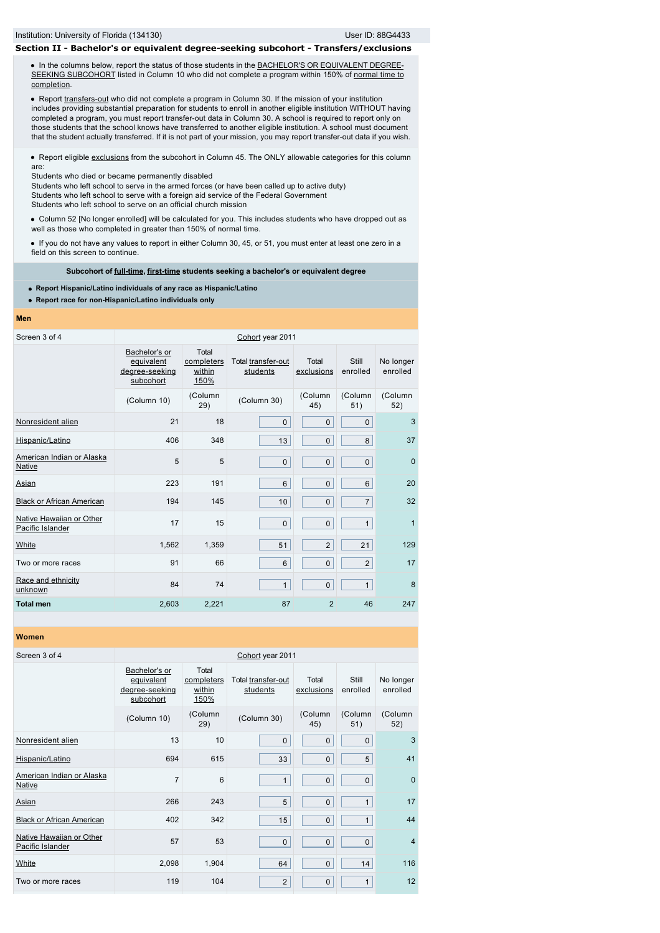# **Section II - Bachelor's or equivalent degree-seeking subcohort - Transfers/exclusions**

• In the columns below, report the status of those students in the **BACHELOR'S OR EQUIVALENT DEGREE-**[SEEKING SUBCOHORT listed in Column 10 who did not complete a program within 150% of normal time to](javascript:openglossary(79)) completion.

• Report [transfers-out](javascript:openglossary(657)) who did not complete a program in Column 30. If the mission of your institution includes providing substantial preparation for students to enroll in another eligible institution WITHOUT having completed a program, you must report transfer-out data in Column 30. A school is required to report only on those students that the school knows have transferred to another eligible institution. A school must document that the student actually transferred. If it is not part of your mission, you may report transfer-out data if you wish.

• Report eligible [exclusions](javascript:openglossary(207)) from the subcohort in Column 45. The ONLY allowable categories for this column are:

Students who died or became permanently disabled

Students who left school to serve in the armed forces (or have been called up to active duty) Students who left school to serve with a foreign aid service of the Federal Government

Students who left school to serve on an official church mission

Column 52 [No longer enrolled] will be calculated for you. This includes students who have dropped out as well as those who completed in greater than 150% of normal time.

If you do not have any values to report in either Column 30, 45, or 51, you must enter at least one zero in a field on this screen to continue.

**Subcohort of [full-time](javascript:openglossary(259)), [first-time](javascript:openglossary(241)) students seeking a bachelor's or equivalent degree**

- **Report Hispanic/Latino individuals of any race as Hispanic/Latino**
- **Report race for non-Hispanic/Latino individuals only**

#### **Men**

| Screen 3 of 4                                |                                                            |                                       | Cohort year 2011               |                     |                   |                       |
|----------------------------------------------|------------------------------------------------------------|---------------------------------------|--------------------------------|---------------------|-------------------|-----------------------|
|                                              | Bachelor's or<br>equivalent<br>degree-seeking<br>subcohort | Total<br>completers<br>within<br>150% | Total transfer-out<br>students | Total<br>exclusions | Still<br>enrolled | No longer<br>enrolled |
|                                              | (Column 10)                                                | (Column<br>29)                        | (Column 30)                    | (Column<br>45)      | (Column<br>51)    | (Column<br>52)        |
| Nonresident alien                            | 21                                                         | 18                                    | $\mathbf{0}$                   | $\mathbf 0$         | $\mathbf{0}$      | 3                     |
| Hispanic/Latino                              | 406                                                        | 348                                   | 13                             | 0                   | 8                 | 37                    |
| American Indian or Alaska<br>Native          | 5                                                          | 5                                     | $\mathbf 0$                    | 0                   | $\mathbf 0$       | $\mathbf 0$           |
| Asian                                        | 223                                                        | 191                                   | 6                              | $\mathbf 0$         | 6                 | 20                    |
| <b>Black or African American</b>             | 194                                                        | 145                                   | 10                             | $\mathbf 0$         | $\overline{7}$    | 32                    |
| Native Hawaiian or Other<br>Pacific Islander | 17                                                         | 15                                    | $\mathbf 0$                    | 0                   | $\mathbf{1}$      | $\overline{1}$        |
| White                                        | 1,562                                                      | 1,359                                 | 51                             | $\overline{2}$      | 21                | 129                   |
| Two or more races                            | 91                                                         | 66                                    | 6                              | 0                   | $\overline{2}$    | 17                    |
| Race and ethnicity<br>unknown                | 84                                                         | 74                                    | $\mathbf{1}$                   | 0                   | $\mathbf{1}$      | 8                     |
| <b>Total men</b>                             | 2,603                                                      | 2,221                                 | 87                             | $\overline{2}$      | 46                | 247                   |

| Screen 3 of 4                                |                                                            | Cohort year 2011                      |                                |                     |                   |                       |  |  |
|----------------------------------------------|------------------------------------------------------------|---------------------------------------|--------------------------------|---------------------|-------------------|-----------------------|--|--|
|                                              | Bachelor's or<br>equivalent<br>degree-seeking<br>subcohort | Total<br>completers<br>within<br>150% | Total transfer-out<br>students | Total<br>exclusions | Still<br>enrolled | No longer<br>enrolled |  |  |
|                                              | (Column 10)                                                | (Column<br>29)                        | (Column 30)                    | (Column<br>45)      | (Column<br>51)    | (Column<br>52)        |  |  |
| Nonresident alien                            | 13                                                         | 10                                    | $\mathbf{0}$                   | $\mathbf 0$         | $\mathbf{0}$      | 3                     |  |  |
| Hispanic/Latino                              | 694                                                        | 615                                   | 33                             | $\mathbf 0$         | 5                 | 41                    |  |  |
| American Indian or Alaska<br><b>Native</b>   | 7                                                          | 6                                     | $\mathbf{1}$                   | 0                   | $\mathbf 0$       | $\mathbf 0$           |  |  |
| Asian                                        | 266                                                        | 243                                   | 5                              | $\mathbf 0$         | $\mathbf{1}$      | 17                    |  |  |
| <b>Black or African American</b>             | 402                                                        | 342                                   | 15                             | 0                   | $\mathbf{1}$      | 44                    |  |  |
| Native Hawaiian or Other<br>Pacific Islander | 57                                                         | 53                                    | $\mathbf{0}$                   | $\mathbf 0$         | $\mathbf 0$       | $\overline{4}$        |  |  |
| White                                        | 2,098                                                      | 1,904                                 | 64                             | $\mathbf 0$         | 14                | 116                   |  |  |
| Two or more races                            | 119                                                        | 104                                   | $\overline{2}$                 | $\mathbf 0$         | 1                 | 12                    |  |  |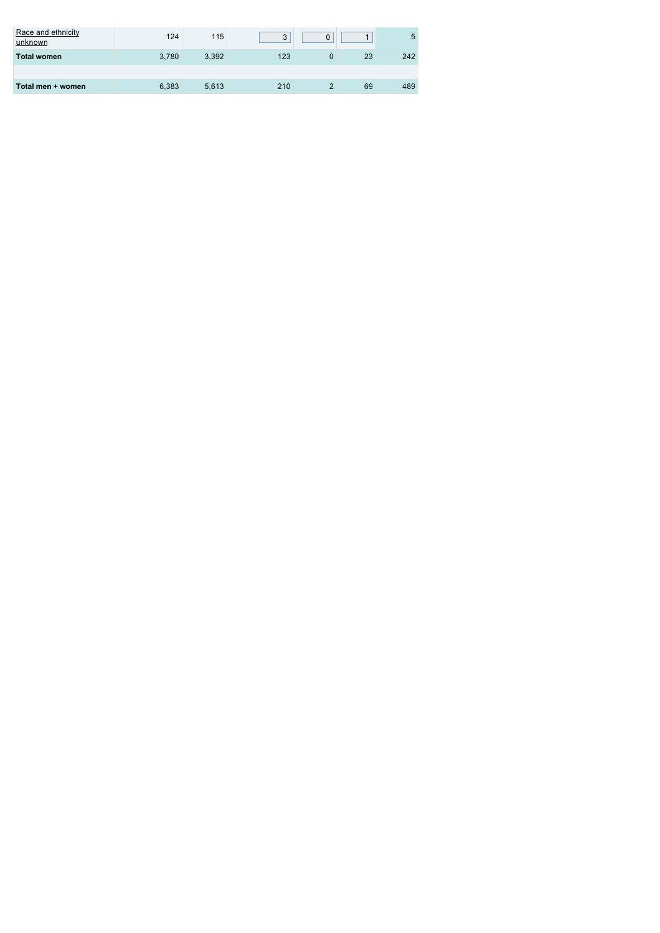| Race and ethnicity<br>unknown | 124   | 115   | 3   |    | 5   |
|-------------------------------|-------|-------|-----|----|-----|
| <b>Total women</b>            | 3.780 | 3,392 | 123 | 23 | 242 |
|                               |       |       |     |    |     |
| Total men + women             | 6,383 | 5,613 | 210 | 69 | 489 |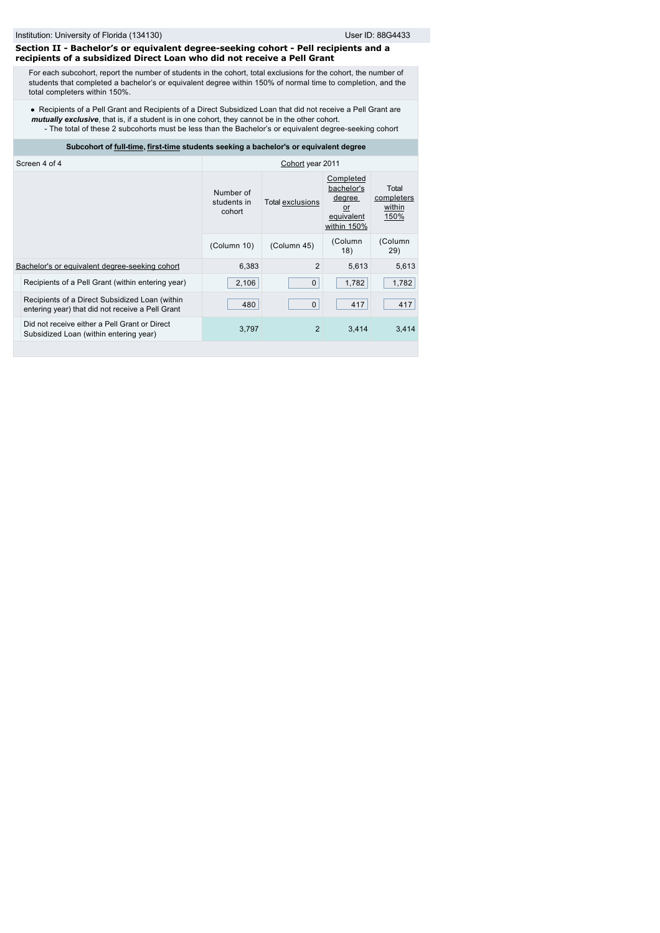### **Section II - Bachelor's or equivalent degree-seeking cohort - Pell recipients and a recipients of a subsidized Direct Loan who did not receive a Pell Grant**

For each subcohort, report the number of students in the cohort, total exclusions for the cohort, the number of students that completed a bachelor's or equivalent degree within 150% of normal time to completion, and the total completers within 150%.

Recipients of a Pell Grant and Recipients of a Direct Subsidized Loan that did not receive a Pell Grant are *mutually exclusive*, that is, if a student is in one cohort, they cannot be in the other cohort. - The total of these 2 subcohorts must be less than the Bachelor's or equivalent degree-seeking cohort

### **Subcohort of [full-time](javascript:openglossary(259)), [first-time](javascript:openglossary(241)) students seeking a bachelor's or equivalent degree**

| Screen 4 of 4                                                                                      | Cohort year 2011                   |                  |                                                                      |                                       |  |
|----------------------------------------------------------------------------------------------------|------------------------------------|------------------|----------------------------------------------------------------------|---------------------------------------|--|
|                                                                                                    | Number of<br>students in<br>cohort | Total exclusions | Completed<br>bachelor's<br>degree<br>or<br>equivalent<br>within 150% | Total<br>completers<br>within<br>150% |  |
|                                                                                                    | (Column 10)                        | (Column 45)      | (Column<br>18)                                                       | (Column<br>29)                        |  |
| Bachelor's or equivalent degree-seeking cohort                                                     | 6,383                              | $\overline{2}$   | 5,613                                                                | 5,613                                 |  |
| Recipients of a Pell Grant (within entering year)                                                  | 2.106                              | 0                | 1,782                                                                | 1,782                                 |  |
| Recipients of a Direct Subsidized Loan (within<br>entering year) that did not receive a Pell Grant | 480                                | $\mathbf 0$      | 417                                                                  | 417                                   |  |
| Did not receive either a Pell Grant or Direct<br>Subsidized Loan (within entering year)            | 3.797                              | 2                | 3.414                                                                | 3,414                                 |  |
|                                                                                                    |                                    |                  |                                                                      |                                       |  |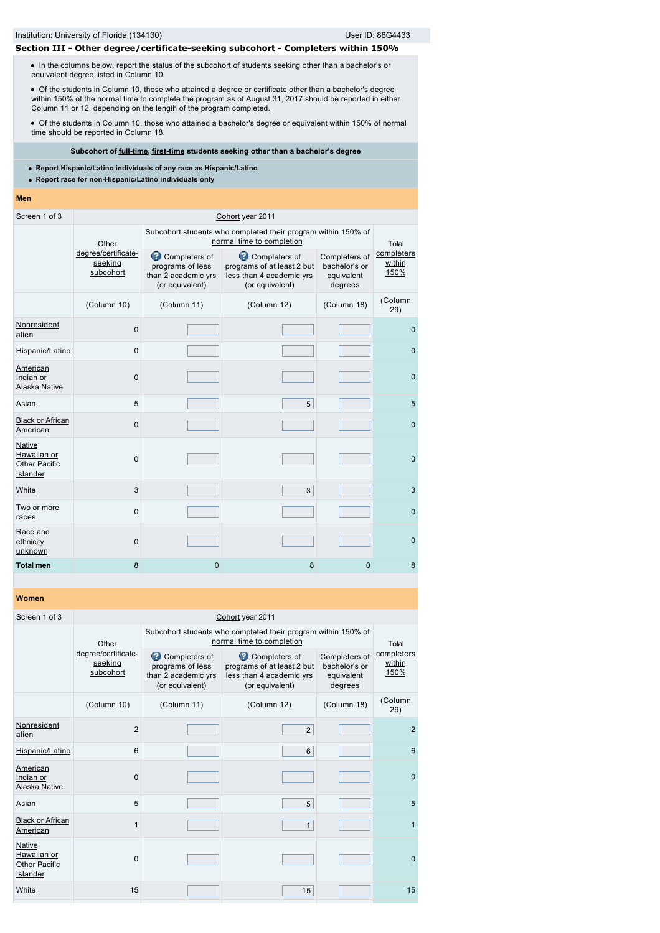# **Section III - Other degree/certificate-seeking subcohort - Completers within 150%**

• In the columns below, report the status of the subcohort of students seeking other than a bachelor's or equivalent degree listed in Column 10.

Of the students in Column 10, those who attained a degree or certificate other than a bachelor's degree within 150% of the normal time to complete the program as of August 31, 2017 should be reported in either Column 11 or 12, depending on the length of the program completed.

Of the students in Column 10, those who attained a bachelor's degree or equivalent within 150% of normal time should be reported in Column 18.

# **Subcohort of [full-time](javascript:openglossary(259)), [first-time](javascript:openglossary(241)) students seeking other than a bachelor's degree**

**Report Hispanic/Latino individuals of any race as Hispanic/Latino**

- **Report race for non-Hispanic/Latino individuals only**
- **Men**

| Screen 1 of 3                                             |                                                                                                                                                                |                                                                                            | Cohort year 2011                                       |                                                         |                              |
|-----------------------------------------------------------|----------------------------------------------------------------------------------------------------------------------------------------------------------------|--------------------------------------------------------------------------------------------|--------------------------------------------------------|---------------------------------------------------------|------------------------------|
|                                                           | Other                                                                                                                                                          | Subcohort students who completed their program within 150% of<br>normal time to completion |                                                        | Total                                                   |                              |
|                                                           | degree/certificate-<br>Completers of<br>Completers of<br>seeking<br>programs of less<br>subcohort<br>than 2 academic yrs<br>(or equivalent)<br>(or equivalent) |                                                                                            | programs of at least 2 but<br>less than 4 academic yrs | Completers of<br>bachelor's or<br>equivalent<br>degrees | completers<br>within<br>150% |
|                                                           | (Column 10)                                                                                                                                                    | (Column 11)                                                                                | (Column 12)                                            | (Column 18)                                             | (Column<br>29)               |
| Nonresident<br>alien                                      | $\mathbf 0$                                                                                                                                                    |                                                                                            |                                                        |                                                         | $\mathbf{0}$                 |
| Hispanic/Latino                                           | $\mathbf 0$                                                                                                                                                    |                                                                                            |                                                        |                                                         | $\pmb{0}$                    |
| American<br>Indian or<br>Alaska Native                    | $\mathbf 0$                                                                                                                                                    |                                                                                            |                                                        |                                                         | $\mathbf{0}$                 |
| Asian                                                     | 5                                                                                                                                                              |                                                                                            | 5                                                      |                                                         | 5                            |
| <b>Black or African</b><br>American                       | $\mathbf 0$                                                                                                                                                    |                                                                                            |                                                        |                                                         | $\mathbf{0}$                 |
| Native<br>Hawaiian or<br><b>Other Pacific</b><br>Islander | $\mathbf 0$                                                                                                                                                    |                                                                                            |                                                        |                                                         | $\mathbf{0}$                 |
| White                                                     | 3                                                                                                                                                              |                                                                                            | 3                                                      |                                                         | 3                            |
| Two or more<br>races                                      | $\mathbf 0$                                                                                                                                                    |                                                                                            |                                                        |                                                         | $\mathbf{0}$                 |
| Race and<br>ethnicity<br>unknown                          | $\mathbf 0$                                                                                                                                                    |                                                                                            |                                                        |                                                         | $\mathbf{0}$                 |
| <b>Total men</b>                                          | 8                                                                                                                                                              | 0                                                                                          | 8                                                      | $\mathbf{0}$                                            | 8                            |

| wunich                                                    |                |                                                                                                                                                                           |                                                                                            |                                                         |                              |  |
|-----------------------------------------------------------|----------------|---------------------------------------------------------------------------------------------------------------------------------------------------------------------------|--------------------------------------------------------------------------------------------|---------------------------------------------------------|------------------------------|--|
| Screen 1 of 3                                             |                |                                                                                                                                                                           | Cohort year 2011                                                                           |                                                         |                              |  |
|                                                           | Other          |                                                                                                                                                                           | Subcohort students who completed their program within 150% of<br>normal time to completion |                                                         | Total                        |  |
| degree/certificate-<br>seeking<br>subcohort               |                | Completers of<br>Completers of<br>programs of less<br>programs of at least 2 but<br>than 2 academic yrs<br>less than 4 academic yrs<br>(or equivalent)<br>(or equivalent) |                                                                                            | Completers of<br>bachelor's or<br>equivalent<br>degrees | completers<br>within<br>150% |  |
|                                                           | (Column 10)    | (Column 11)                                                                                                                                                               | (Column 12)                                                                                | (Column 18)                                             | (Column<br>29)               |  |
| Nonresident<br>alien                                      | $\overline{2}$ |                                                                                                                                                                           | $\overline{2}$                                                                             |                                                         | $\overline{2}$               |  |
| Hispanic/Latino                                           | 6              |                                                                                                                                                                           | 6                                                                                          |                                                         | 6                            |  |
| American<br>Indian or<br>Alaska Native                    | $\mathbf 0$    |                                                                                                                                                                           |                                                                                            |                                                         | $\mathbf{0}$                 |  |
| Asian                                                     | 5              |                                                                                                                                                                           | 5                                                                                          |                                                         | 5                            |  |
| <b>Black or African</b><br>American                       | 1              |                                                                                                                                                                           | $\mathbf{1}$                                                                               |                                                         | 1                            |  |
| Native<br>Hawaiian or<br><b>Other Pacific</b><br>Islander | $\mathbf 0$    |                                                                                                                                                                           |                                                                                            |                                                         | $\mathbf{0}$                 |  |
| White                                                     | 15             |                                                                                                                                                                           | 15                                                                                         |                                                         | 15                           |  |
|                                                           |                |                                                                                                                                                                           |                                                                                            |                                                         |                              |  |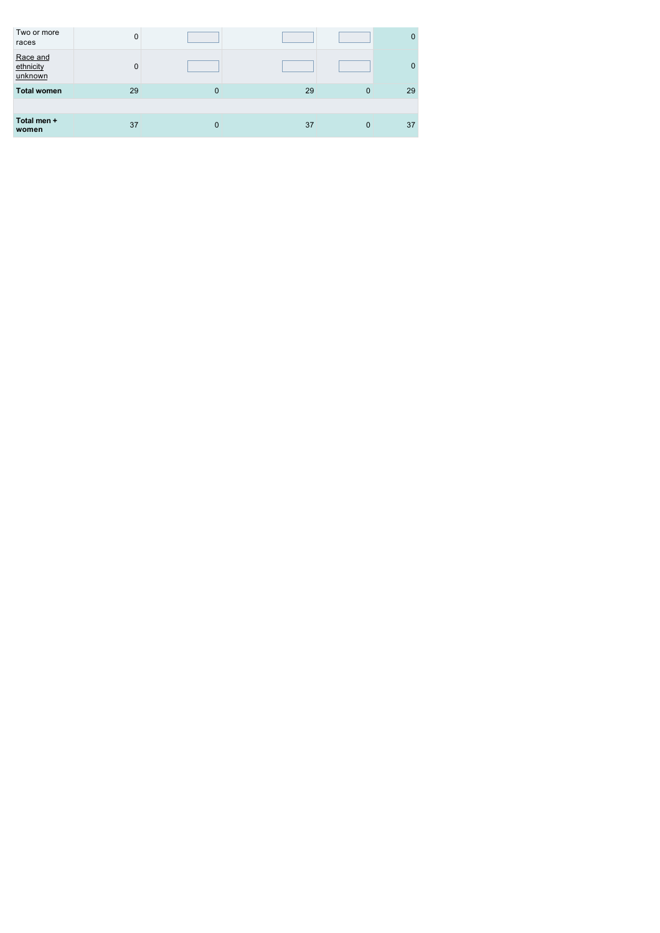| Two or more<br>races             | 0           |          |    |              | 0        |
|----------------------------------|-------------|----------|----|--------------|----------|
| Race and<br>ethnicity<br>unknown | $\mathbf 0$ |          |    |              | $\Omega$ |
| <b>Total women</b>               | 29          | $\Omega$ | 29 | $\mathbf{0}$ | 29       |
|                                  |             |          |    |              |          |
| Total men +<br>women             | 37          | $\Omega$ | 37 | $\mathbf 0$  | 37       |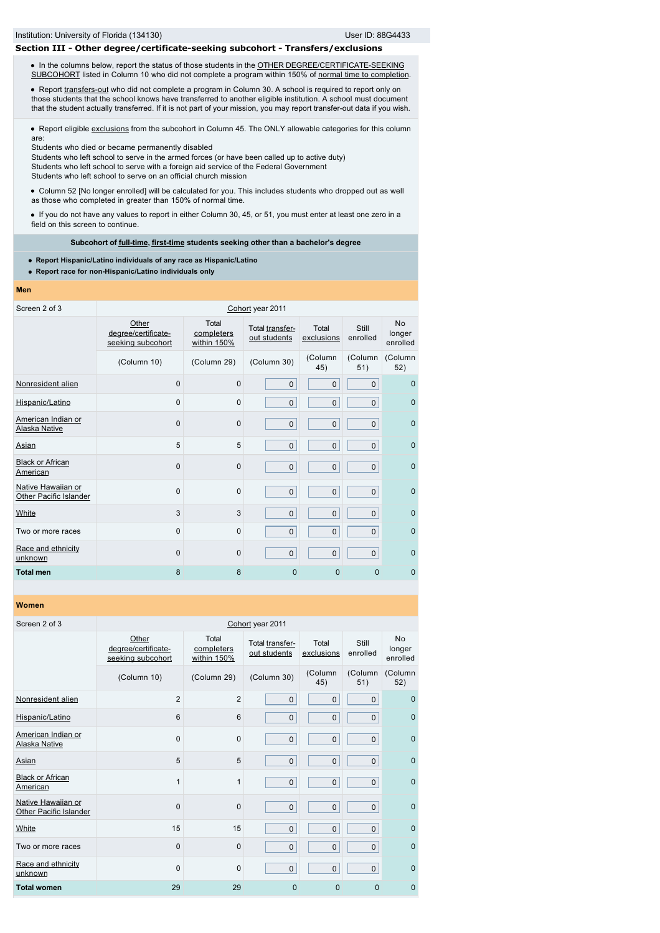### **Section III - Other degree/certificate-seeking subcohort - Transfers/exclusions**

. In the columns below, report the status of those students in the OTHER DEGREE/CERTIFICATE-SEEKING [SUBCOHORT listed in Column 10 who did not complete a program within 150% of normal time to completio](javascript:openglossary(441))[n.](javascript:openglossary(421))

• Report [transfers-out](javascript:openglossary(657)) who did not complete a program in Column 30. A school is required to report only on those students that the school knows have transferred to another eligible institution. A school must document that the student actually transferred. If it is not part of your mission, you may report transfer-out data if you wish.

Report eligible [exclusions](javascript:openglossary(207)) from the subcohort in Column 45. The ONLY allowable categories for this column are:

Students who died or became permanently disabled

Students who left school to serve in the armed forces (or have been called up to active duty) Students who left school to serve with a foreign aid service of the Federal Government Students who left school to serve on an official church mission

Column 52 [No longer enrolled] will be calculated for you. This includes students who dropped out as well as those who completed in greater than 150% of normal time.

If you do not have any values to report in either Column 30, 45, or 51, you must enter at least one zero in a field on this screen to continue.

### **Subcohort of [full-time](javascript:openglossary(259)), [first-time](javascript:openglossary(241)) students seeking other than a bachelor's degree**

**Report Hispanic/Latino individuals of any race as Hispanic/Latino**

**Report race for non-Hispanic/Latino individuals only**

#### **Men**

| Screen 2 of 3                                       | Cohort year 2011                                  |                                                                       |              |                     |                   |                                 |  |
|-----------------------------------------------------|---------------------------------------------------|-----------------------------------------------------------------------|--------------|---------------------|-------------------|---------------------------------|--|
|                                                     | Other<br>degree/certificate-<br>seeking subcohort | Total<br>Total transfer-<br>completers<br>out students<br>within 150% |              | Total<br>exclusions | Still<br>enrolled | <b>No</b><br>longer<br>enrolled |  |
|                                                     | (Column 10)                                       | (Column 29)                                                           | (Column 30)  | (Column<br>45)      | (Column<br>51)    | (Column<br>52)                  |  |
| Nonresident alien                                   | 0                                                 | 0                                                                     | $\mathbf 0$  | $\mathbf 0$         | 0                 | $\mathbf 0$                     |  |
| Hispanic/Latino                                     | 0                                                 | $\Omega$                                                              | $\mathbf 0$  | $\pmb{0}$           | $\pmb{0}$         | $\mathbf{0}$                    |  |
| American Indian or<br><b>Alaska Native</b>          | 0                                                 | 0                                                                     | 0            | $\mathbf 0$         | $\mathbf 0$       | $\mathbf{0}$                    |  |
| Asian                                               | 5                                                 | 5                                                                     | $\mathbf{0}$ | $\pmb{0}$           | $\pmb{0}$         | $\mathbf{0}$                    |  |
| <b>Black or African</b><br><b>American</b>          | $\mathbf 0$                                       | $\mathbf 0$                                                           | $\mathbf{0}$ | $\mathbf 0$         | $\mathbf 0$       | $\mathbf{0}$                    |  |
| Native Hawaiian or<br><b>Other Pacific Islander</b> | 0                                                 | $\Omega$                                                              | $\mathbf 0$  | $\mathbf 0$         | $\pmb{0}$         | $\mathbf{0}$                    |  |
| White                                               | 3                                                 | 3                                                                     | $\mathbf{0}$ | $\mathbf 0$         | $\mathbf 0$       | $\Omega$                        |  |
| Two or more races                                   | 0                                                 | 0                                                                     | $\mathbf{0}$ | $\mathbf 0$         | $\pmb{0}$         | $\mathbf{0}$                    |  |
| Race and ethnicity<br>unknown                       | $\mathbf 0$                                       | 0                                                                     | $\mathbf{0}$ | $\mathbf 0$         | $\mathbf 0$       | $\mathbf{0}$                    |  |
| <b>Total men</b>                                    | 8                                                 | 8                                                                     | $\mathbf 0$  | $\mathbf{0}$        | $\Omega$          | $\mathbf{0}$                    |  |

| Screen 2 of 3                                       | Cohort year 2011                                  |                                    |                                 |                     |                   |                          |  |  |
|-----------------------------------------------------|---------------------------------------------------|------------------------------------|---------------------------------|---------------------|-------------------|--------------------------|--|--|
|                                                     | Other<br>degree/certificate-<br>seeking subcohort | Total<br>completers<br>within 150% | Total transfer-<br>out students | Total<br>exclusions | Still<br>enrolled | No<br>longer<br>enrolled |  |  |
|                                                     | (Column 10)                                       | (Column 29)                        | (Column 30)                     | (Column<br>45)      | (Column<br>51)    | (Column<br>52)           |  |  |
| Nonresident alien                                   | $\overline{2}$                                    | $\overline{2}$                     | $\mathbf 0$                     | $\mathbf 0$         | $\mathbf{0}$      | $\mathbf{0}$             |  |  |
| Hispanic/Latino                                     | 6                                                 | 6                                  | $\mathbf 0$                     | $\mathbf 0$         | $\mathsf 0$       | $\mathbf{0}$             |  |  |
| American Indian or<br><b>Alaska Native</b>          | $\mathbf 0$                                       | $\mathbf 0$                        | $\mathbf 0$                     | $\pmb{0}$           | $\mathbf 0$       | $\mathbf{0}$             |  |  |
| Asian                                               | 5                                                 | 5                                  | $\mathbf 0$                     | $\mathbf{0}$        | $\mathsf 0$       | $\mathbf{0}$             |  |  |
| <b>Black or African</b><br>American                 | $\mathbf{1}$                                      | 1                                  | $\mathbf 0$                     | $\mathbf{0}$        | $\mathsf 0$       | $\mathbf{0}$             |  |  |
| Native Hawaiian or<br><b>Other Pacific Islander</b> | $\mathbf 0$                                       | $\mathbf 0$                        | $\mathbf{0}$                    | $\mathbf 0$         | $\pmb{0}$         | $\mathbf{0}$             |  |  |
| White                                               | 15                                                | 15                                 | $\mathbf 0$                     | $\mathbf 0$         | $\mathbf 0$       | $\mathbf{0}$             |  |  |
| Two or more races                                   | $\mathbf 0$                                       | $\mathbf 0$                        | $\mathbf 0$                     | $\mathbf 0$         | $\mathbf 0$       | $\Omega$                 |  |  |
| Race and ethnicity<br>unknown                       | $\mathbf 0$                                       | $\mathbf 0$                        | $\mathbf{0}$                    | $\pmb{0}$           | $\pmb{0}$         | $\mathbf{0}$             |  |  |
| <b>Total women</b>                                  | 29                                                | 29                                 | $\mathbf{0}$                    | $\overline{0}$      | 0                 | $\mathbf{0}$             |  |  |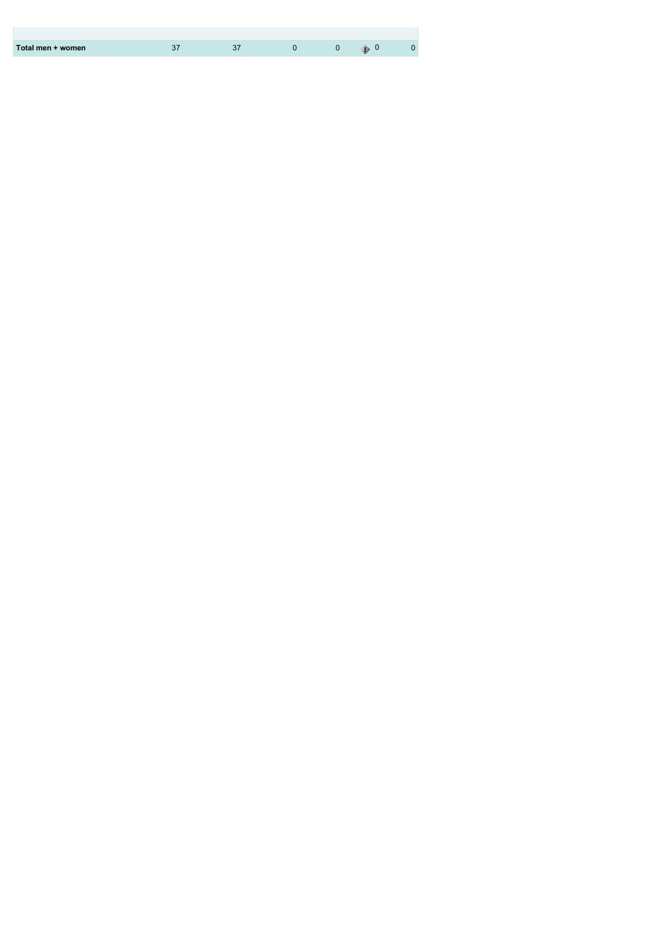| Total men + women |  |  |  |
|-------------------|--|--|--|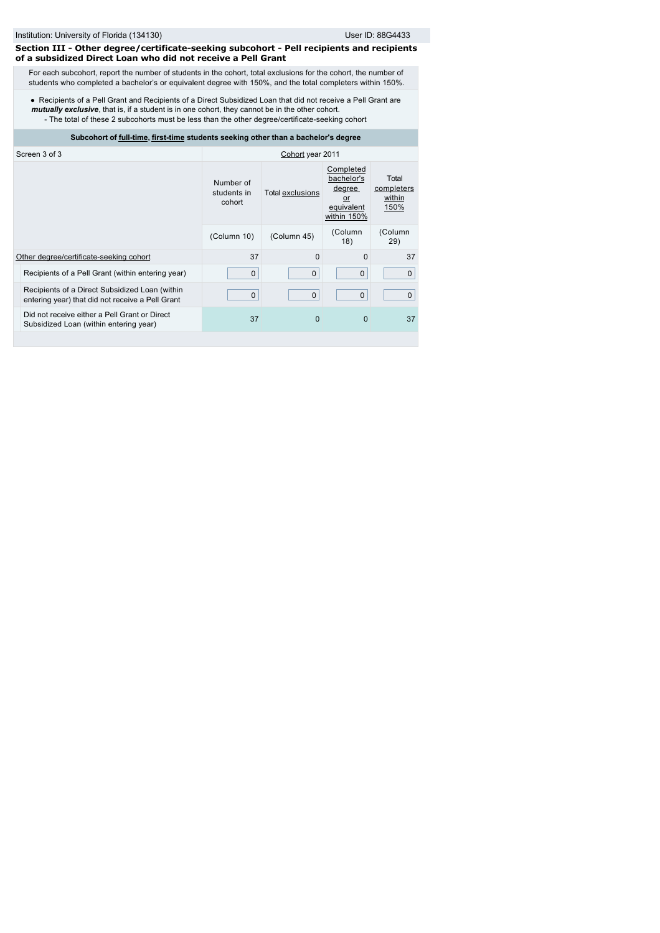### **Section III - Other degree/certificate-seeking subcohort - Pell recipients and recipients of a subsidized Direct Loan who did not receive a Pell Grant**

For each subcohort, report the number of students in the cohort, total exclusions for the cohort, the number of students who completed a bachelor's or equivalent degree with 150%, and the total completers within 150%.

Recipients of a Pell Grant and Recipients of a Direct Subsidized Loan that did not receive a Pell Grant are *mutually exclusive*, that is, if a student is in one cohort, they cannot be in the other cohort. - The total of these 2 subcohorts must be less than the other degree/certificate-seeking cohort

# **Subcohort of [full-time](javascript:openglossary(259)), [first-time](javascript:openglossary(241)) students seeking other than a bachelor's degree**

| Screen 3 of 3                                                                                      | Cohort year 2011                   |                  |                                                                      |                                       |  |
|----------------------------------------------------------------------------------------------------|------------------------------------|------------------|----------------------------------------------------------------------|---------------------------------------|--|
|                                                                                                    | Number of<br>students in<br>cohort | Total exclusions | Completed<br>bachelor's<br>degree<br>or<br>equivalent<br>within 150% | Total<br>completers<br>within<br>150% |  |
|                                                                                                    | (Column 10)                        | (Column 45)      | (Column<br>18)                                                       | (Column<br>29)                        |  |
| Other degree/certificate-seeking cohort                                                            | 37                                 | $\Omega$         | 0                                                                    | 37                                    |  |
| Recipients of a Pell Grant (within entering year)                                                  | $\mathbf{0}$                       | $\mathbf{0}$     | $\mathbf{0}$                                                         | $\mathbf{0}$                          |  |
| Recipients of a Direct Subsidized Loan (within<br>entering year) that did not receive a Pell Grant | $\mathbf{0}$                       | $\mathbf{0}$     | $\mathbf{0}$                                                         | $\mathbf{0}$                          |  |
| Did not receive either a Pell Grant or Direct<br>Subsidized Loan (within entering year)            | 37                                 | $\Omega$         | $\Omega$                                                             | 37                                    |  |
|                                                                                                    |                                    |                  |                                                                      |                                       |  |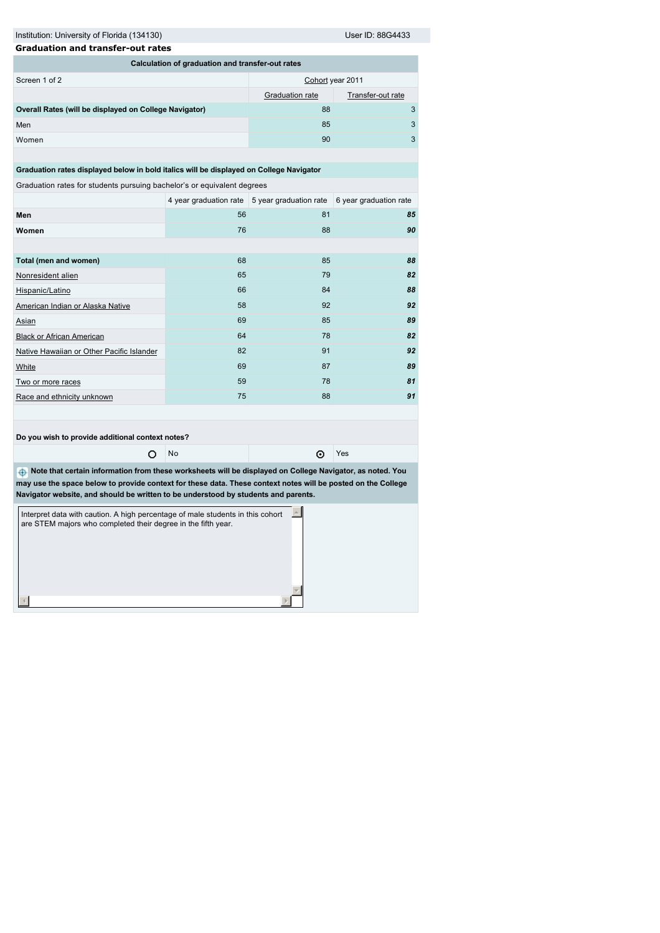Institution: University of Florida (134130) User ID: 88G4433

| <b>Graduation and transfer-out rates</b>               |                  |                   |   |  |  |  |  |
|--------------------------------------------------------|------------------|-------------------|---|--|--|--|--|
| Calculation of graduation and transfer-out rates       |                  |                   |   |  |  |  |  |
| Screen 1 of 2                                          | Cohort year 2011 |                   |   |  |  |  |  |
|                                                        | Graduation rate  | Transfer-out rate |   |  |  |  |  |
| Overall Rates (will be displayed on College Navigator) | 88               |                   | 3 |  |  |  |  |
| Men                                                    | 85               |                   | 3 |  |  |  |  |
| Women                                                  | 90               |                   | 3 |  |  |  |  |

**Graduation rates displayed below in bold italics will be displayed on College Navigator**

Graduation rates for students pursuing bachelor's or equivalent degrees

|                                           |    | 4 year graduation rate 5 year graduation rate 6 year graduation rate |    |
|-------------------------------------------|----|----------------------------------------------------------------------|----|
| Men                                       | 56 | 81                                                                   | 85 |
| Women                                     | 76 | 88                                                                   | 90 |
|                                           |    |                                                                      |    |
| Total (men and women)                     | 68 | 85                                                                   | 88 |
| Nonresident alien                         | 65 | 79                                                                   | 82 |
| Hispanic/Latino                           | 66 | 84                                                                   | 88 |
| American Indian or Alaska Native          | 58 | 92                                                                   | 92 |
| Asian                                     | 69 | 85                                                                   | 89 |
| <b>Black or African American</b>          | 64 | 78                                                                   | 82 |
| Native Hawaiian or Other Pacific Islander | 82 | 91                                                                   | 92 |
| White                                     | 69 | 87                                                                   | 89 |
| Two or more races                         | 59 | 78                                                                   | 81 |
| Race and ethnicity unknown                | 75 | 88                                                                   | 91 |
|                                           |    |                                                                      |    |

**Do you wish to provide additional context notes?**

O No C Yes

 **Note that certain information from these worksheets will be displayed on College Navigator, as noted. You may use the space below to provide context for these data. These context notes will be posted on the College Navigator website, and should be written to be understood by students and parents.**

| Interpret data with caution. A high percentage of male students in this cohort<br>are STEM majors who completed their degree in the fifth year. |  |
|-------------------------------------------------------------------------------------------------------------------------------------------------|--|
|                                                                                                                                                 |  |
|                                                                                                                                                 |  |
|                                                                                                                                                 |  |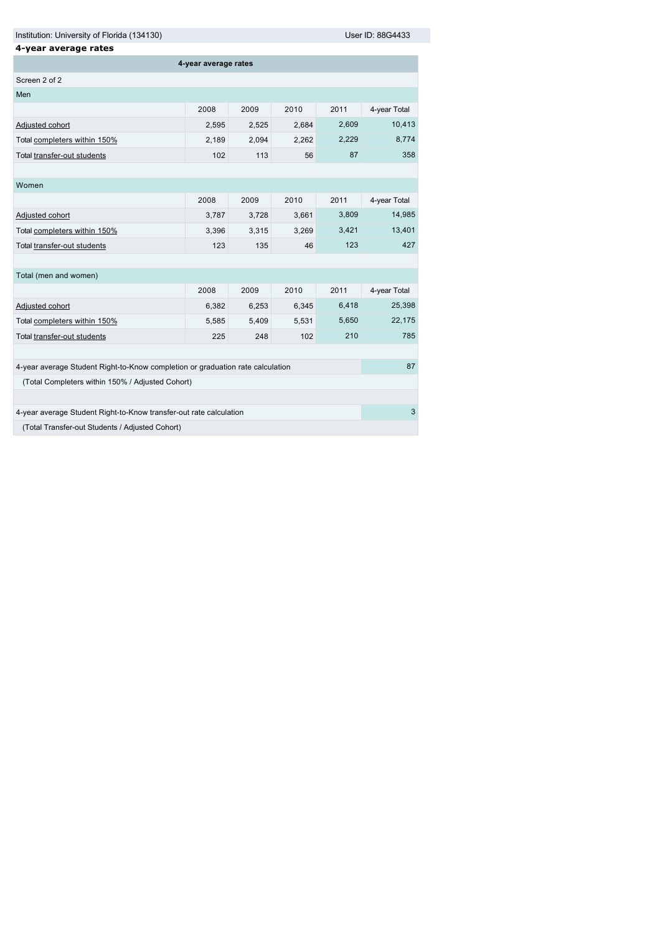Institution: University of Florida (134130) Contract the User ID: 88G4433

| 4-year average rates                                                           |       |       |       |       |              |  |  |
|--------------------------------------------------------------------------------|-------|-------|-------|-------|--------------|--|--|
| 4-year average rates                                                           |       |       |       |       |              |  |  |
| Screen 2 of 2                                                                  |       |       |       |       |              |  |  |
| Men                                                                            |       |       |       |       |              |  |  |
|                                                                                | 2008  | 2009  | 2010  | 2011  | 4-year Total |  |  |
| Adjusted cohort                                                                | 2,595 | 2,525 | 2,684 | 2,609 | 10,413       |  |  |
| Total completers within 150%                                                   | 2,189 | 2,094 | 2,262 | 2,229 | 8,774        |  |  |
| Total transfer-out students                                                    | 102   | 113   | 56    | 87    | 358          |  |  |
|                                                                                |       |       |       |       |              |  |  |
| Women                                                                          |       |       |       |       |              |  |  |
|                                                                                | 2008  | 2009  | 2010  | 2011  | 4-year Total |  |  |
| Adjusted cohort                                                                | 3,787 | 3,728 | 3,661 | 3,809 | 14,985       |  |  |
| Total completers within 150%                                                   | 3,396 | 3,315 | 3,269 | 3,421 | 13,401       |  |  |
| Total transfer-out students                                                    | 123   | 135   | 46    | 123   | 427          |  |  |
|                                                                                |       |       |       |       |              |  |  |
| Total (men and women)                                                          |       |       |       |       |              |  |  |
|                                                                                | 2008  | 2009  | 2010  | 2011  | 4-year Total |  |  |
| Adjusted cohort                                                                | 6,382 | 6,253 | 6,345 | 6,418 | 25,398       |  |  |
| Total completers within 150%                                                   | 5,585 | 5,409 | 5,531 | 5,650 | 22,175       |  |  |
| Total transfer-out students                                                    | 225   | 248   | 102   | 210   | 785          |  |  |
|                                                                                |       |       |       |       |              |  |  |
| 4-year average Student Right-to-Know completion or graduation rate calculation |       |       |       |       | 87           |  |  |
| (Total Completers within 150% / Adjusted Cohort)                               |       |       |       |       |              |  |  |
|                                                                                |       |       |       |       |              |  |  |
| 4-year average Student Right-to-Know transfer-out rate calculation             |       |       |       |       |              |  |  |
| (Total Transfer-out Students / Adjusted Cohort)                                |       |       |       |       |              |  |  |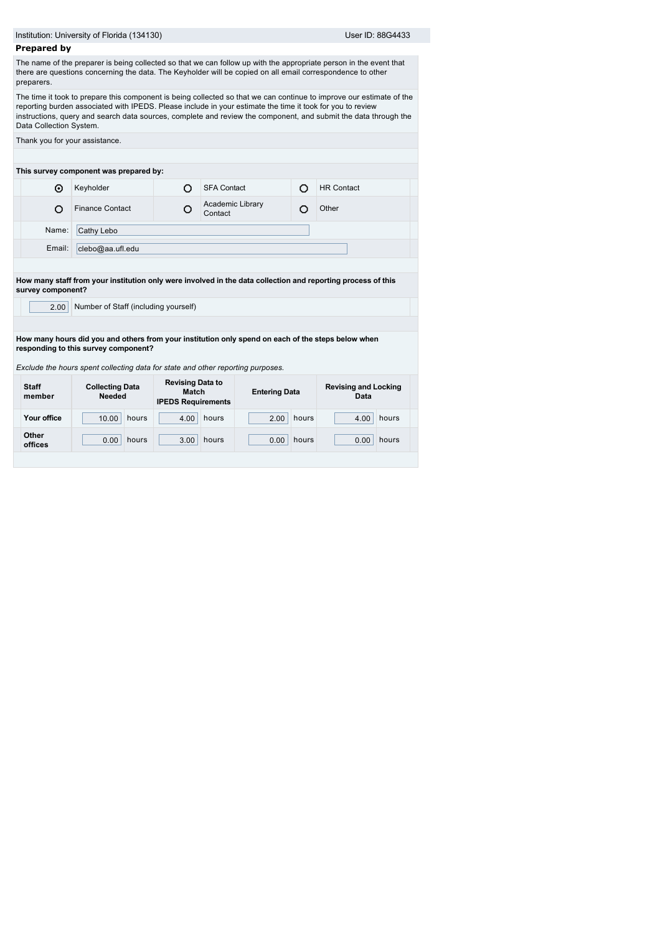|                         | Institution: University of Florida (134130)                                                                                                |                                                               |                             |       | User ID: 88G4433                                                                                                                                                                                                                        |  |
|-------------------------|--------------------------------------------------------------------------------------------------------------------------------------------|---------------------------------------------------------------|-----------------------------|-------|-----------------------------------------------------------------------------------------------------------------------------------------------------------------------------------------------------------------------------------------|--|
| <b>Prepared by</b>      |                                                                                                                                            |                                                               |                             |       |                                                                                                                                                                                                                                         |  |
| preparers.              | there are questions concerning the data. The Keyholder will be copied on all email correspondence to other                                 |                                                               |                             |       | The name of the preparer is being collected so that we can follow up with the appropriate person in the event that                                                                                                                      |  |
| Data Collection System. | reporting burden associated with IPEDS. Please include in your estimate the time it took for you to review                                 |                                                               |                             |       | The time it took to prepare this component is being collected so that we can continue to improve our estimate of the<br>instructions, query and search data sources, complete and review the component, and submit the data through the |  |
|                         | Thank you for your assistance.                                                                                                             |                                                               |                             |       |                                                                                                                                                                                                                                         |  |
|                         |                                                                                                                                            |                                                               |                             |       |                                                                                                                                                                                                                                         |  |
|                         | This survey component was prepared by:                                                                                                     |                                                               |                             |       |                                                                                                                                                                                                                                         |  |
| ⊙                       | Keyholder                                                                                                                                  | O                                                             | <b>SFA Contact</b>          | Ō     | <b>HR Contact</b>                                                                                                                                                                                                                       |  |
| Ω                       | <b>Finance Contact</b>                                                                                                                     | O                                                             | Academic Library<br>Contact | O     | Other                                                                                                                                                                                                                                   |  |
| Name:                   | Cathy Lebo                                                                                                                                 |                                                               |                             |       |                                                                                                                                                                                                                                         |  |
| Email:                  | clebo@aa.ufl.edu                                                                                                                           |                                                               |                             |       |                                                                                                                                                                                                                                         |  |
|                         |                                                                                                                                            |                                                               |                             |       |                                                                                                                                                                                                                                         |  |
|                         |                                                                                                                                            |                                                               |                             |       | How many staff from your institution only were involved in the data collection and reporting process of this                                                                                                                            |  |
| survey component?       |                                                                                                                                            |                                                               |                             |       |                                                                                                                                                                                                                                         |  |
| 2.00                    | Number of Staff (including yourself)                                                                                                       |                                                               |                             |       |                                                                                                                                                                                                                                         |  |
|                         |                                                                                                                                            |                                                               |                             |       |                                                                                                                                                                                                                                         |  |
|                         | How many hours did you and others from your institution only spend on each of the steps below when<br>responding to this survey component? |                                                               |                             |       |                                                                                                                                                                                                                                         |  |
|                         |                                                                                                                                            |                                                               |                             |       |                                                                                                                                                                                                                                         |  |
|                         | Exclude the hours spent collecting data for state and other reporting purposes.                                                            |                                                               |                             |       |                                                                                                                                                                                                                                         |  |
| <b>Staff</b>            | <b>Collecting Data</b><br><b>Needed</b>                                                                                                    | <b>Revising Data to</b><br>Match<br><b>IPEDS Requirements</b> | <b>Entering Data</b>        |       | <b>Revising and Locking</b><br>Data                                                                                                                                                                                                     |  |
| member                  |                                                                                                                                            |                                                               |                             |       |                                                                                                                                                                                                                                         |  |
| Your office             | hours<br>10.00                                                                                                                             | 4.00                                                          | hours<br>2.00               | hours | hours<br>4.00                                                                                                                                                                                                                           |  |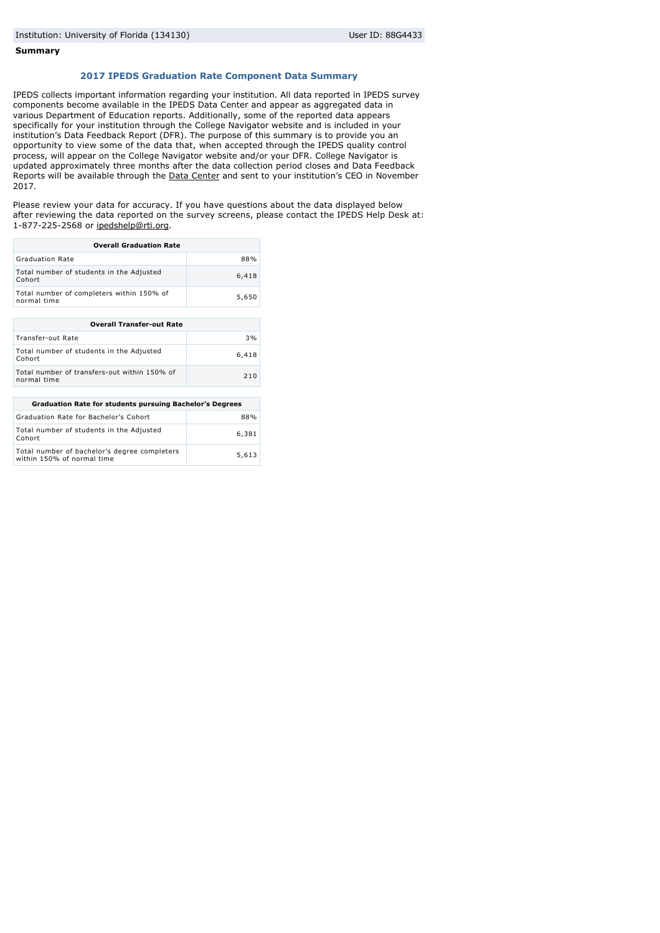#### **Summary**

### **2017 IPEDS Graduation Rate Component Data Summary**

IPEDS collects important information regarding your institution. All data reported in IPEDS survey components become available in the IPEDS Data Center and appear as aggregated data in various Department of Education reports. Additionally, some of the reported data appears specifically for your institution through the College Navigator website and is included in your institution's Data Feedback Report (DFR). The purpose of this summary is to provide you an opportunity to view some of the data that, when accepted through the IPEDS quality control process, will appear on the College Navigator website and/or your DFR. College Navigator is updated approximately three months after the data collection period closes and Data Feedback Reports will be available through the [Data Center](http://nces.ed.gov/ipeds/datacenter/) and sent to your institution's CEO in November 2017.

Please review your data for accuracy. If you have questions about the data displayed below after reviewing the data reported on the survey screens, please contact the IPEDS Help Desk at: 1-877-225-2568 or [ipedshelp@rti.org](mailto:ipedshelp@rti.org).

| <b>Overall Graduation Rate</b>                           |       |  |  |  |  |
|----------------------------------------------------------|-------|--|--|--|--|
| <b>Graduation Rate</b>                                   | 88%   |  |  |  |  |
| Total number of students in the Adjusted<br>Cohort       | 6,418 |  |  |  |  |
| Total number of completers within 150% of<br>normal time | 5,650 |  |  |  |  |

| <b>Overall Transfer-out Rate</b>                            |       |  |  |  |  |
|-------------------------------------------------------------|-------|--|--|--|--|
| Transfer-out Rate                                           | 3%    |  |  |  |  |
| Total number of students in the Adjusted<br>Cohort          | 6,418 |  |  |  |  |
| Total number of transfers-out within 150% of<br>normal time | 210   |  |  |  |  |

| <b>Graduation Rate for students pursuing Bachelor's Degrees</b>            |       |  |  |  |
|----------------------------------------------------------------------------|-------|--|--|--|
| Graduation Rate for Bachelor's Cohort                                      | 88%   |  |  |  |
| Total number of students in the Adjusted<br>Cohort                         | 6,381 |  |  |  |
| Total number of bachelor's degree completers<br>within 150% of normal time | 5,613 |  |  |  |